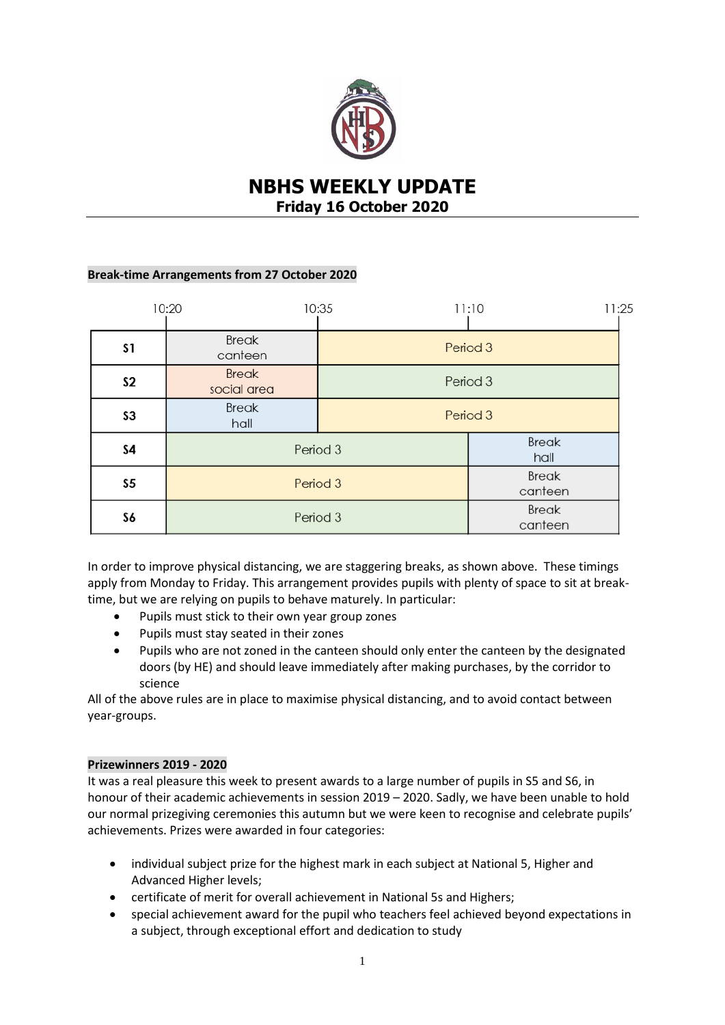

# **NBHS WEEKLY UPDATE Friday 16 October 2020**

## **Break-time Arrangements from 27 October 2020**

|                | 10:20                       | 10:35    | 11:25<br>11:10          |
|----------------|-----------------------------|----------|-------------------------|
| <b>S1</b>      | <b>Break</b><br>canteen     | Period 3 |                         |
| S <sub>2</sub> | <b>Break</b><br>social area | Period 3 |                         |
| S <sub>3</sub> | <b>Break</b><br>hall        | Period 3 |                         |
| \$4            | Period 3                    |          | <b>Break</b><br>hall    |
| S5             | Period 3                    |          | <b>Break</b><br>canteen |
| S6             | Period 3                    |          | <b>Break</b><br>canteen |

In order to improve physical distancing, we are staggering breaks, as shown above. These timings apply from Monday to Friday. This arrangement provides pupils with plenty of space to sit at breaktime, but we are relying on pupils to behave maturely. In particular:

- Pupils must stick to their own year group zones
- Pupils must stay seated in their zones
- Pupils who are not zoned in the canteen should only enter the canteen by the designated doors (by HE) and should leave immediately after making purchases, by the corridor to science

All of the above rules are in place to maximise physical distancing, and to avoid contact between year-groups.

# **Prizewinners 2019 - 2020**

It was a real pleasure this week to present awards to a large number of pupils in S5 and S6, in honour of their academic achievements in session 2019 – 2020. Sadly, we have been unable to hold our normal prizegiving ceremonies this autumn but we were keen to recognise and celebrate pupils' achievements. Prizes were awarded in four categories:

- individual subject prize for the highest mark in each subject at National 5, Higher and Advanced Higher levels;
- certificate of merit for overall achievement in National 5s and Highers;
- special achievement award for the pupil who teachers feel achieved beyond expectations in a subject, through exceptional effort and dedication to study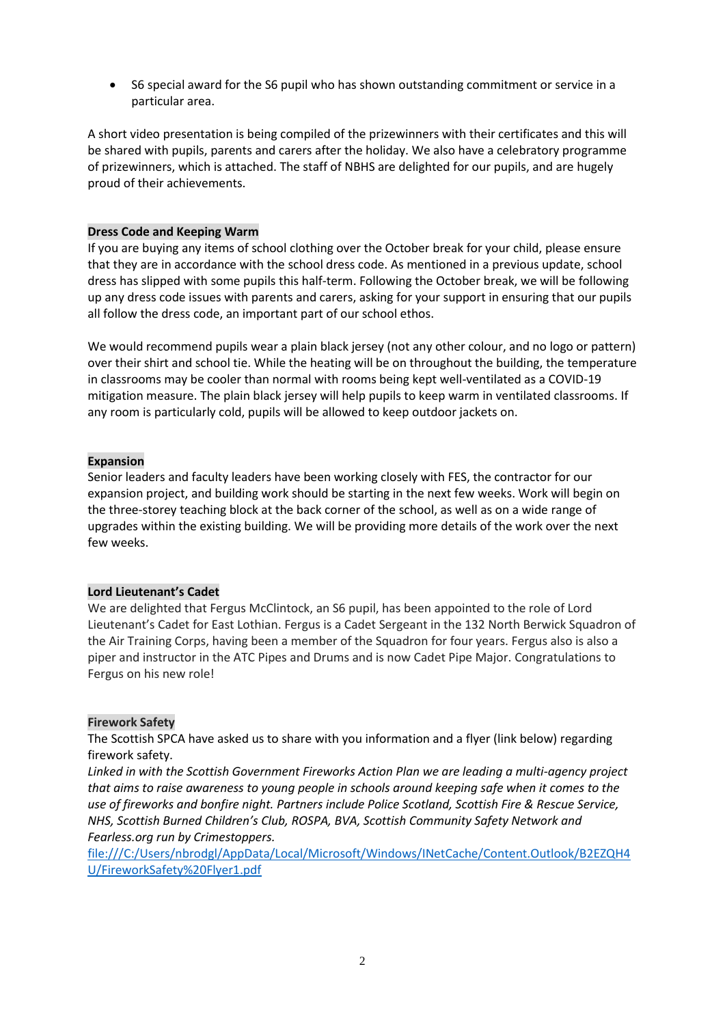S6 special award for the S6 pupil who has shown outstanding commitment or service in a particular area.

A short video presentation is being compiled of the prizewinners with their certificates and this will be shared with pupils, parents and carers after the holiday. We also have a celebratory programme of prizewinners, which is attached. The staff of NBHS are delighted for our pupils, and are hugely proud of their achievements.

### **Dress Code and Keeping Warm**

If you are buying any items of school clothing over the October break for your child, please ensure that they are in accordance with the school dress code. As mentioned in a previous update, school dress has slipped with some pupils this half-term. Following the October break, we will be following up any dress code issues with parents and carers, asking for your support in ensuring that our pupils all follow the dress code, an important part of our school ethos.

We would recommend pupils wear a plain black jersey (not any other colour, and no logo or pattern) over their shirt and school tie. While the heating will be on throughout the building, the temperature in classrooms may be cooler than normal with rooms being kept well-ventilated as a COVID-19 mitigation measure. The plain black jersey will help pupils to keep warm in ventilated classrooms. If any room is particularly cold, pupils will be allowed to keep outdoor jackets on.

## **Expansion**

Senior leaders and faculty leaders have been working closely with FES, the contractor for our expansion project, and building work should be starting in the next few weeks. Work will begin on the three-storey teaching block at the back corner of the school, as well as on a wide range of upgrades within the existing building. We will be providing more details of the work over the next few weeks.

#### **Lord Lieutenant's Cadet**

We are delighted that Fergus McClintock, an S6 pupil, has been appointed to the role of Lord Lieutenant's Cadet for East Lothian. Fergus is a Cadet Sergeant in the 132 North Berwick Squadron of the Air Training Corps, having been a member of the Squadron for four years. Fergus also is also a piper and instructor in the ATC Pipes and Drums and is now Cadet Pipe Major. Congratulations to Fergus on his new role!

#### **Firework Safety**

The Scottish SPCA have asked us to share with you information and a flyer (link below) regarding firework safety.

*Linked in with the Scottish Government Fireworks Action Plan we are leading a multi-agency project that aims to raise awareness to young people in schools around keeping safe when it comes to the use of fireworks and bonfire night. Partners include Police Scotland, Scottish Fire & Rescue Service, NHS, Scottish Burned Children's Club, ROSPA, BVA, Scottish Community Safety Network and Fearless.org run by Crimestoppers.*

[file:///C:/Users/nbrodgl/AppData/Local/Microsoft/Windows/INetCache/Content.Outlook/B2EZQH4](file:///C:/Users/nbrodgl/AppData/Local/Microsoft/Windows/INetCache/Content.Outlook/B2EZQH4U/FireworkSafety%20Flyer1.pdf) [U/FireworkSafety%20Flyer1.pdf](file:///C:/Users/nbrodgl/AppData/Local/Microsoft/Windows/INetCache/Content.Outlook/B2EZQH4U/FireworkSafety%20Flyer1.pdf)